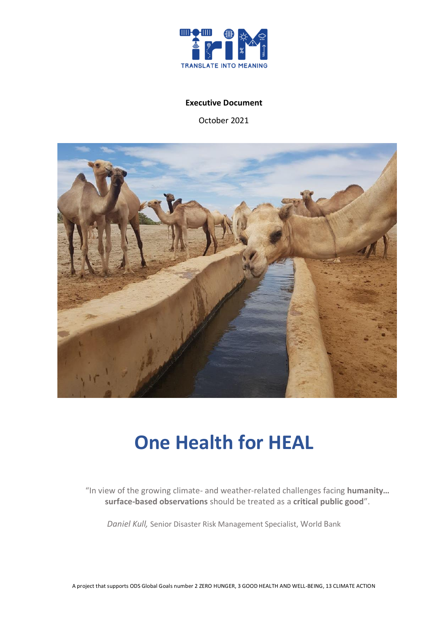

#### **Executive Document**

October 2021



# **One Health for HEAL**

"In view of the growing climate- and weather-related challenges facing **humanity… surface-based observations** should be treated as a **critical public good**".

*Daniel Kull,* Senior Disaster Risk Management Specialist, World Bank

A project that supports ODS Global Goals number 2 ZERO HUNGER, 3 GOOD HEALTH AND WELL-BEING, 13 CLIMATE ACTION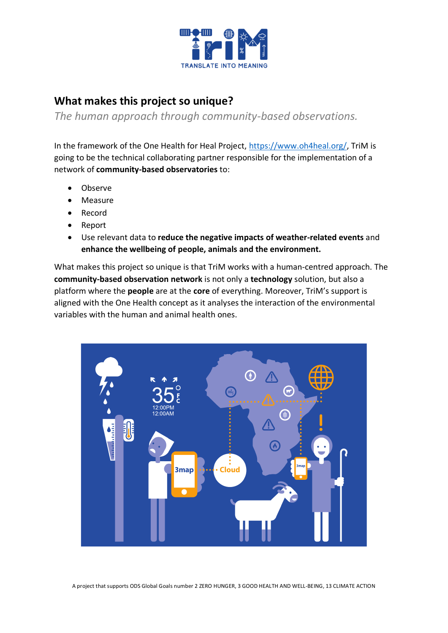

### **What makes this project so unique?**

*The human approach through community-based observations.* 

In the framework of the One Health for Heal Project, [https://www.oh4heal.org/,](https://www.oh4heal.org/) TriM is going to be the technical collaborating partner responsible for the implementation of a network of **community-based observatories** to:

- Observe
- Measure
- Record
- Report
- Use relevant data to **reduce the negative impacts of weather-related events** and **enhance the wellbeing of people, animals and the environment.**

What makes this project so unique is that TriM works with a human-centred approach. The **community-based observation network** is not only a **technology** solution, but also a platform where the **people** are at the **core** of everything. Moreover, TriM's support is aligned with the One Health concept as it analyses the interaction of the environmental variables with the human and animal health ones.

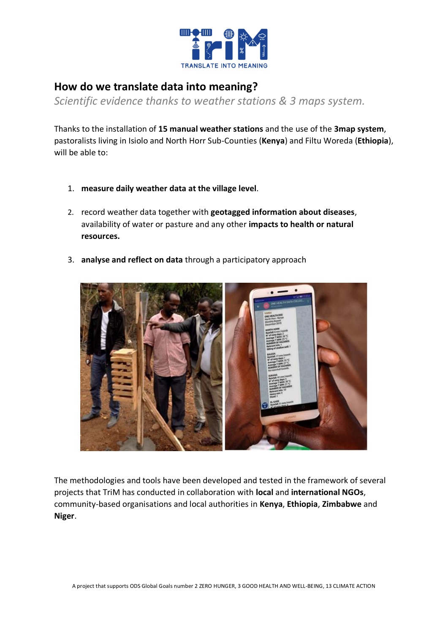

### **How do we translate data into meaning?**

*Scientific evidence thanks to weather stations & 3 maps system.*

Thanks to the installation of **15 manual weather stations** and the use of the **3map system**, pastoralists living in Isiolo and North Horr Sub-Counties (**Kenya**) and Filtu Woreda (**Ethiopia**), will be able to:

- 1. **measure daily weather data at the village level**.
- 2. record weather data together with **geotagged information about diseases**, availability of water or pasture and any other **impacts to health or natural resources.**
- 3. **analyse and reflect on data** through a participatory approach



The methodologies and tools have been developed and tested in the framework of several projects that TriM has conducted in collaboration with **local** and **international NGOs**, community-based organisations and local authorities in **Kenya**, **Ethiopia**, **Zimbabwe** and **Niger**.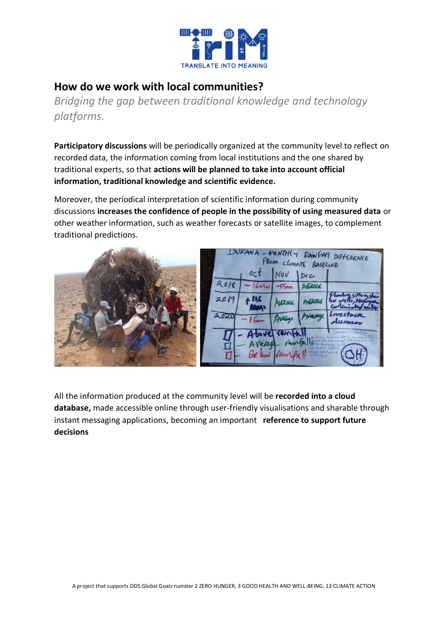

#### **How do we work with local communities?**

*Bridging the gap between traditional knowledge and technology platforms.*

**Participatory discussions** will be periodically organized at the community level to reflect on recorded data, the information coming from local institutions and the one shared by traditional experts, so that **actions will be planned to take into account official information, traditional knowledge and scientific evidence.**

Moreover, the periodical interpretation of scientific information during community discussions **increases the confidence of people in the possibility of using measured data** or other weather information, such as weather forecasts or satellite images, to complement traditional predictions.



All the information produced at the community level will be **recorded into a cloud database,** made accessible online through user-friendly visualisations and sharable through instant messaging applications, becoming an important **reference to support future decisions**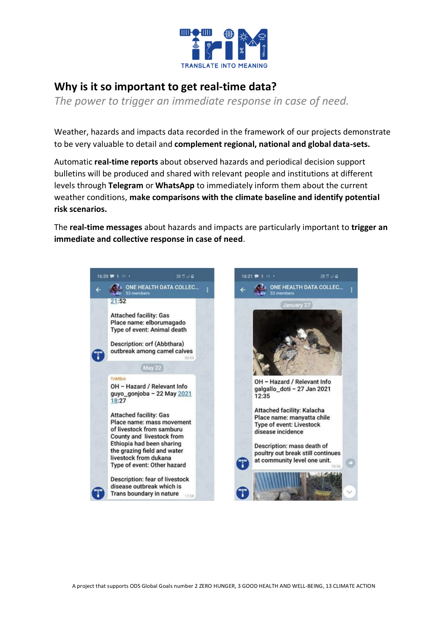

## **Why is it so important to get real-time data?**

*The power to trigger an immediate response in case of need.*

Weather, hazards and impacts data recorded in the framework of our projects demonstrate to be very valuable to detail and **complement regional, national and global data-sets.**

Automatic **real-time reports** about observed hazards and periodical decision support bulletins will be produced and shared with relevant people and institutions at different levels through **Telegram** or **WhatsApp** to immediately inform them about the current weather conditions, **make comparisons with the climate baseline and identify potential risk scenarios.**

The **real-time messages** about hazards and impacts are particularly important to **trigger an immediate and collective response in case of need**.



A project that supports ODS Global Goals number 2 ZERO HUNGER, 3 GOOD HEALTH AND WELL-BEING, 13 CLIMATE ACTION